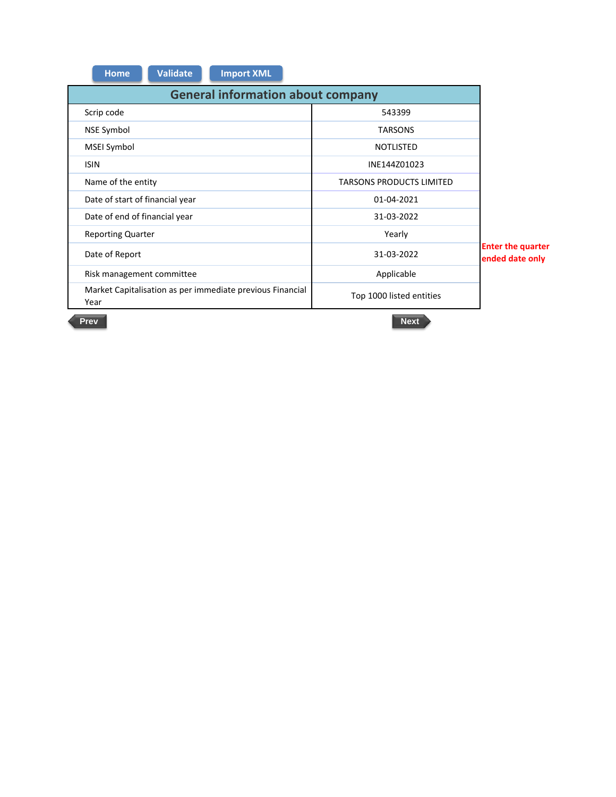|                           | <b>Home</b>                                                                                   | <b>Validate</b>                 | <b>Import XML</b>                        |                |                                             |  |  |
|---------------------------|-----------------------------------------------------------------------------------------------|---------------------------------|------------------------------------------|----------------|---------------------------------------------|--|--|
|                           |                                                                                               |                                 | <b>General information about company</b> |                |                                             |  |  |
|                           | Scrip code                                                                                    |                                 |                                          |                | 543399                                      |  |  |
|                           | <b>NSE Symbol</b>                                                                             |                                 |                                          | <b>TARSONS</b> |                                             |  |  |
|                           | MSEI Symbol                                                                                   |                                 |                                          |                | <b>NOTLISTED</b>                            |  |  |
|                           | <b>ISIN</b>                                                                                   |                                 |                                          |                | INE144Z01023                                |  |  |
| Name of the entity        |                                                                                               |                                 |                                          |                | <b>TARSONS PRODUCTS LIMITED</b>             |  |  |
|                           |                                                                                               | Date of start of financial year |                                          |                | 01-04-2021                                  |  |  |
|                           | Date of end of financial year                                                                 |                                 |                                          |                | 31-03-2022                                  |  |  |
|                           | <b>Reporting Quarter</b>                                                                      |                                 |                                          |                | Yearly                                      |  |  |
| Date of Report            |                                                                                               |                                 |                                          | 31-03-2022     | <b>Enter the quarter</b><br>ended date only |  |  |
| Risk management committee |                                                                                               |                                 |                                          |                | Applicable                                  |  |  |
|                           | Market Capitalisation as per immediate previous Financial<br>Top 1000 listed entities<br>Year |                                 |                                          |                |                                             |  |  |
|                           |                                                                                               |                                 |                                          |                |                                             |  |  |

J.

ο.

**Prev Next**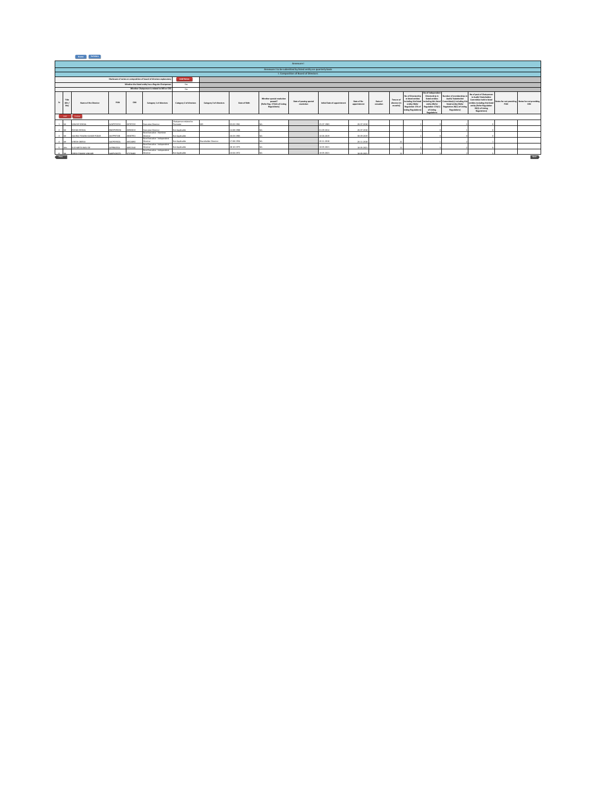| Home | <b>STEP</b> |  |
|------|-------------|--|
|      |             |  |

|                                                                              |              | Annexure I               |                         |                         |                                                                      |                                      |                                                                                             |                                              |                             |                                                                |                     |                                    |                                                                                                                                      |                                                                                                                                                                       |                                                                                                                                                  |                                                                                                                                                                                   |                                                        |            |  |      |
|------------------------------------------------------------------------------|--------------|--------------------------|-------------------------|-------------------------|----------------------------------------------------------------------|--------------------------------------|---------------------------------------------------------------------------------------------|----------------------------------------------|-----------------------------|----------------------------------------------------------------|---------------------|------------------------------------|--------------------------------------------------------------------------------------------------------------------------------------|-----------------------------------------------------------------------------------------------------------------------------------------------------------------------|--------------------------------------------------------------------------------------------------------------------------------------------------|-----------------------------------------------------------------------------------------------------------------------------------------------------------------------------------|--------------------------------------------------------|------------|--|------|
|                                                                              |              |                          |                         |                         |                                                                      |                                      |                                                                                             |                                              |                             | Annexure I to be submitted by listed entity on quarterly basis |                     |                                    |                                                                                                                                      |                                                                                                                                                                       |                                                                                                                                                  |                                                                                                                                                                                   |                                                        |            |  |      |
|                                                                              |              |                          |                         |                         |                                                                      |                                      |                                                                                             |                                              |                             | L Composition of Board of Directors                            |                     |                                    |                                                                                                                                      |                                                                                                                                                                       |                                                                                                                                                  |                                                                                                                                                                                   |                                                        |            |  |      |
|                                                                              |              |                          |                         |                         | Disclosure of notes on composition of board of directors explanatory | Add Notes                            |                                                                                             |                                              |                             |                                                                |                     |                                    |                                                                                                                                      |                                                                                                                                                                       |                                                                                                                                                  |                                                                                                                                                                                   |                                                        |            |  |      |
|                                                                              |              |                          |                         |                         | Whether the listed entity has a Regular Chairpenpo                   | Yes                                  |                                                                                             |                                              |                             |                                                                |                     |                                    |                                                                                                                                      |                                                                                                                                                                       |                                                                                                                                                  |                                                                                                                                                                                   |                                                        |            |  |      |
|                                                                              |              |                          |                         |                         | Whether Chairperson is related to MD or CEO                          | Yes                                  |                                                                                             |                                              |                             |                                                                |                     |                                    |                                                                                                                                      |                                                                                                                                                                       |                                                                                                                                                  |                                                                                                                                                                                   |                                                        |            |  |      |
| Title<br>5 <sub>0</sub><br>DIN<br>PAN<br>OMr /<br>Name of the Director<br>Mu |              |                          | Category 1 of directors | Category 2 of directors | Category 3 of directors                                              | Date of Birth                        | Whether special resolution<br>gamed?<br><b>Skefer Reg. 17(1A) of Listing</b><br>Regulations | <b>Date of passing special</b><br>conclusion | Initial Date of appointment | <b>Date of Re-</b><br>aggointment                              | Date of<br>counties | Tenum of<br>director (in<br>months | No of Directorship<br>in listed entities<br>including this lists<br>entity (Refer<br>Regulation 17A of<br><b>Listing Regulations</b> | No of Independent<br><b>Directorship in</b><br><b>Ested entities</b><br><b>Including this lists</b><br>entity (Refer<br>Regulation 17A11<br>of Listing<br>Regulations | Number of memberships is<br>Audit/Stakeholder<br>ammitteels) including this<br>light entity (Refer<br>Regulation 26(1) of Listing<br>Regulations | No of post of Chairperson<br>in Audit/ Stakeholder<br>Committee held in listed<br>entities including this listed<br>entity (Refer Regulation)<br>26(1) of Listing<br>Regulations) | Notes for not providing Notes for not providing<br>PAN | <b>DIN</b> |  |      |
|                                                                              | Add          | <b>Celete</b>            |                         |                         |                                                                      |                                      |                                                                                             |                                              |                             |                                                                |                     |                                    |                                                                                                                                      |                                                                                                                                                                       |                                                                                                                                                  |                                                                                                                                                                                   |                                                        |            |  |      |
|                                                                              |              | <b>CANING SENSAI</b>     | ALMOSTO DEL             | 0207232                 | Executive Director                                                   | Chairperson related to<br>Dreamchair |                                                                                             | 03-02-2961                                   |                             |                                                                | 25-07-1983          | 36, 07, 301                        |                                                                                                                                      |                                                                                                                                                                       |                                                                                                                                                  |                                                                                                                                                                                   |                                                        |            |  |      |
|                                                                              |              | <b>BOILEN STUGHT</b>     | 3MD09337GC              | 00903013                | <b>Expenditus Director</b>                                           | Net Anglicable                       |                                                                                             | 14.06.1988                                   |                             |                                                                | 10032014            | 36, 07-201                         |                                                                                                                                      |                                                                                                                                                                       |                                                                                                                                                  |                                                                                                                                                                                   |                                                        |            |  |      |
|                                                                              | <b>Bally</b> | GAURAV PAWAN KUMAR PODAR | AM DOGTC38              | 08387951                | Non-Executive - Nominee<br>Director                                  | Net Applicable                       |                                                                                             | 26-03-2983                                   |                             |                                                                | 0205-00-01          | 30-09-201                          |                                                                                                                                      |                                                                                                                                                                       |                                                                                                                                                  |                                                                                                                                                                                   |                                                        |            |  |      |
|                                                                              |              | Madan Insteam            | HODDONAA                | CORACZOS                | Non-Executive - Independent<br>Director                              | Net Applicable                       | Shareholder Director                                                                        | 17-08-1956                                   |                             |                                                                | 20-11-2018          | 35.11.351                          |                                                                                                                                      |                                                                                                                                                                       |                                                                                                                                                  |                                                                                                                                                                                   |                                                        |            |  |      |
|                                                                              |              | SIOHARITA BASILDE        | APPROXIMA               | 0821540                 | Non-Executive - Independent<br><b>Visuality</b>                      | New Angliculus                       |                                                                                             | 30.10.1035                                   |                             |                                                                | 0-05-2021           | 10-05-202                          |                                                                                                                                      |                                                                                                                                                                       |                                                                                                                                                  |                                                                                                                                                                                   |                                                        |            |  |      |
| <b>Press</b>                                                                 |              | GIRISH PAMAN VANVARI     | AARPV2637D              | 2276482                 | Non-Executive - Independent<br><b>Strector</b>                       | Net Applicable                       |                                                                                             | 10-04-1972                                   |                             |                                                                | 10-05-2021          | 10-05-202                          |                                                                                                                                      |                                                                                                                                                                       |                                                                                                                                                  |                                                                                                                                                                                   |                                                        |            |  | No.1 |

0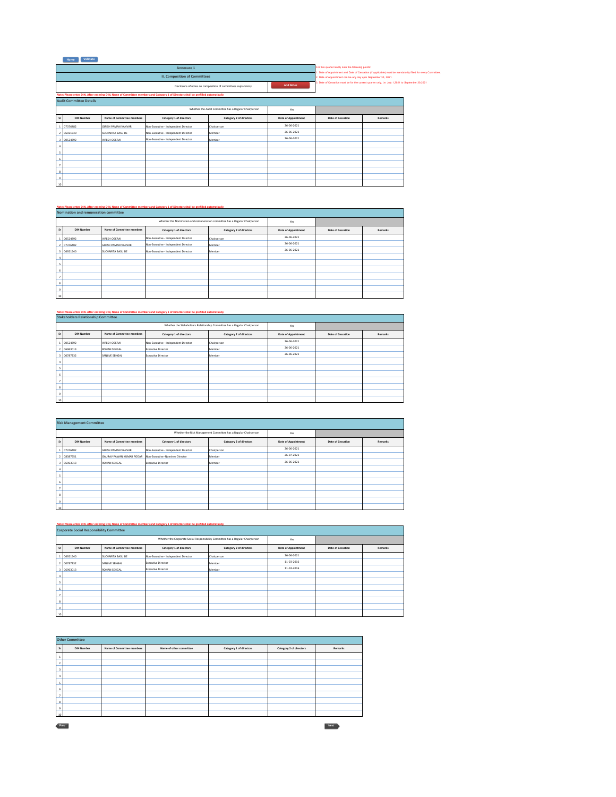## **Home Validate**

|                                                                                                                                                                                      |                   |                           | For this quarter kindly note the following points:<br>. Date of Appointment and Date of Cessation (if applicable) must be mandatorily filed for every Committee. |                                                       |                     |                   |                |  |  |
|--------------------------------------------------------------------------------------------------------------------------------------------------------------------------------------|-------------------|---------------------------|------------------------------------------------------------------------------------------------------------------------------------------------------------------|-------------------------------------------------------|---------------------|-------------------|----------------|--|--|
|                                                                                                                                                                                      |                   |                           | 2. Date of Appointment can be any day upto September 30, 2021.                                                                                                   |                                                       |                     |                   |                |  |  |
| 3. Date of Cessation must be for the current quarter only, i.e. July 1.2021 to September 30,2021<br><b>Add Notes</b><br>Disclosure of notes on composition of committees explanatory |                   |                           |                                                                                                                                                                  |                                                       |                     |                   |                |  |  |
| Note: Please enter DIN. After entering DIN, Name of Committee members and Category 1 of Directors shall be prefilled automatically                                                   |                   |                           |                                                                                                                                                                  |                                                       |                     |                   |                |  |  |
| <b>Audit Committee Details</b>                                                                                                                                                       |                   |                           |                                                                                                                                                                  |                                                       |                     |                   |                |  |  |
|                                                                                                                                                                                      |                   |                           |                                                                                                                                                                  | Whether the Audit Committee has a Regular Chairperson | Yes                 |                   |                |  |  |
| Sr                                                                                                                                                                                   | <b>DIN Number</b> | Name of Committee members | Category 1 of directors                                                                                                                                          | Category 2 of directors                               | Date of Appointment | Date of Cessation | <b>Remarks</b> |  |  |
| $\overline{1}$                                                                                                                                                                       | 07376482          | GIRISH PAMAN VANVARI      | Non-Executive - Independent Director                                                                                                                             | Chairperson                                           | 26-06-2021          |                   |                |  |  |
| $\overline{2}$                                                                                                                                                                       | 06921540          | SUCHARITA BASU DE         | Non-Executive - Independent Director                                                                                                                             | Member                                                | 26-06-2021          |                   |                |  |  |
| $\overline{\mathbf{3}}$                                                                                                                                                              | 00524892          | <b>VIRESH OBERAI</b>      | Non-Executive - Independent Director                                                                                                                             | Member                                                | 26-06-2021          |                   |                |  |  |
| $\overline{4}$                                                                                                                                                                       |                   |                           |                                                                                                                                                                  |                                                       |                     |                   |                |  |  |
| 5                                                                                                                                                                                    |                   |                           |                                                                                                                                                                  |                                                       |                     |                   |                |  |  |
| 6                                                                                                                                                                                    |                   |                           |                                                                                                                                                                  |                                                       |                     |                   |                |  |  |
| $\overline{7}$                                                                                                                                                                       |                   |                           |                                                                                                                                                                  |                                                       |                     |                   |                |  |  |
| 8                                                                                                                                                                                    |                   |                           |                                                                                                                                                                  |                                                       |                     |                   |                |  |  |
| 9                                                                                                                                                                                    |                   |                           |                                                                                                                                                                  |                                                       |                     |                   |                |  |  |
| 10                                                                                                                                                                                   |                   |                           |                                                                                                                                                                  |                                                       |                     |                   |                |  |  |

|                          | Note: Please enter DIN. After entering DIN, Name of Committee members and Category 1 of Directors shall be prefilled automatically |                           |                                      |                         |                     |                   |         |  |  |  |
|--------------------------|------------------------------------------------------------------------------------------------------------------------------------|---------------------------|--------------------------------------|-------------------------|---------------------|-------------------|---------|--|--|--|
|                          | Nomination and remuneration committee                                                                                              |                           |                                      |                         |                     |                   |         |  |  |  |
|                          |                                                                                                                                    |                           | Yes                                  |                         |                     |                   |         |  |  |  |
| Sr                       | <b>DIN Number</b>                                                                                                                  | Name of Committee members | Category 1 of directors              | Category 2 of directors | Date of Appointment | Date of Cessation | Remarks |  |  |  |
|                          | 00524892                                                                                                                           | <b>VIRESH OBERAI</b>      | Non-Executive - Independent Director | Chairperson             | 26-06-2021          |                   |         |  |  |  |
|                          | 2 07376482                                                                                                                         | GIRISH PAMAN VANVARI      | Non-Executive - Independent Director | Member                  | 26-06-2021          |                   |         |  |  |  |
| $\overline{\mathbf{3}}$  | 06921540                                                                                                                           | SUCHARITA BASU DE         | Non-Executive - Independent Director | Member                  | 26-06-2021          |                   |         |  |  |  |
| 4                        |                                                                                                                                    |                           |                                      |                         |                     |                   |         |  |  |  |
| $\overline{\phantom{a}}$ |                                                                                                                                    |                           |                                      |                         |                     |                   |         |  |  |  |
| 6                        |                                                                                                                                    |                           |                                      |                         |                     |                   |         |  |  |  |
| $\overline{7}$           |                                                                                                                                    |                           |                                      |                         |                     |                   |         |  |  |  |
| 8                        |                                                                                                                                    |                           |                                      |                         |                     |                   |         |  |  |  |
| 9                        |                                                                                                                                    |                           |                                      |                         |                     |                   |         |  |  |  |
| 10                       |                                                                                                                                    |                           |                                      |                         |                     |                   |         |  |  |  |

| Note: Please enter DIN. After entering DIN, Name of Committee members and Category 1 of Directors shall be prefilled automatically |                           |                                      |                         |                     |                   |         |  |  |  |
|------------------------------------------------------------------------------------------------------------------------------------|---------------------------|--------------------------------------|-------------------------|---------------------|-------------------|---------|--|--|--|
| <b>Stakeholders Relationship Committee</b>                                                                                         |                           |                                      |                         |                     |                   |         |  |  |  |
|                                                                                                                                    |                           | Yes                                  |                         |                     |                   |         |  |  |  |
| <b>DIN Number</b><br>Sr                                                                                                            | Name of Committee members | Category 1 of directors              | Category 2 of directors | Date of Appointment | Date of Cessation | Remarks |  |  |  |
| 1 00524892                                                                                                                         | <b>VIRESH OBERAI</b>      | Non-Executive - Independent Director | Chairperson             | 26-06-2021          |                   |         |  |  |  |
| 2 06963013                                                                                                                         | ROHAN SEHGAL              | <b>Executive Director</b>            | Member                  | 26-06-2021          |                   |         |  |  |  |
| 3 00787232                                                                                                                         | SANJIVE SEHGAL            | <b>Executive Director</b>            | Member                  | 26-06-2021          |                   |         |  |  |  |
|                                                                                                                                    |                           |                                      |                         |                     |                   |         |  |  |  |
| 5                                                                                                                                  |                           |                                      |                         |                     |                   |         |  |  |  |
| А                                                                                                                                  |                           |                                      |                         |                     |                   |         |  |  |  |
|                                                                                                                                    |                           |                                      |                         |                     |                   |         |  |  |  |
| 8                                                                                                                                  |                           |                                      |                         |                     |                   |         |  |  |  |
| 9                                                                                                                                  |                           |                                      |                         |                     |                   |         |  |  |  |
| 10                                                                                                                                 |                           |                                      |                         |                     |                   |         |  |  |  |

|                | <b>Risk Management Committee</b> |                           |                                      |                         |                     |                   |         |  |  |  |
|----------------|----------------------------------|---------------------------|--------------------------------------|-------------------------|---------------------|-------------------|---------|--|--|--|
|                |                                  |                           |                                      |                         |                     |                   |         |  |  |  |
| Sr             | <b>DIN Number</b>                | Name of Committee members | Category 1 of directors              | Category 2 of directors | Date of Appointment | Date of Cessation | Remarks |  |  |  |
|                | 07376482                         | GIRISH PAMAN VANVARI      | Non-Executive - Independent Director | Chairperson             | 26-06-2021          |                   |         |  |  |  |
|                | 08387951                         | GAURAV PAWAN KUMAR PODAR  | Non-Executive -Nominee Director      | Member                  | 26-07-2021          |                   |         |  |  |  |
| $\overline{3}$ | 06963013                         | ROHAN SEHGAL              | <b>Executive Director</b>            | Member                  | 26-06-2021          |                   |         |  |  |  |
| 4              |                                  |                           |                                      |                         |                     |                   |         |  |  |  |
| 5              |                                  |                           |                                      |                         |                     |                   |         |  |  |  |
| 6              |                                  |                           |                                      |                         |                     |                   |         |  |  |  |
| ٠              |                                  |                           |                                      |                         |                     |                   |         |  |  |  |
| 8              |                                  |                           |                                      |                         |                     |                   |         |  |  |  |
| 9              |                                  |                           |                                      |                         |                     |                   |         |  |  |  |
| 10             |                                  |                           |                                      |                         |                     |                   |         |  |  |  |

|                | Note: Please enter DIN. After entering DIN, Name of Committee members and Category 1 of Directors shall be prefilled automatically |                           |                                      |                         |                     |                   |         |  |  |  |
|----------------|------------------------------------------------------------------------------------------------------------------------------------|---------------------------|--------------------------------------|-------------------------|---------------------|-------------------|---------|--|--|--|
|                | <b>Corporate Social Responsibility Committee</b>                                                                                   |                           |                                      |                         |                     |                   |         |  |  |  |
|                |                                                                                                                                    |                           | Yes                                  |                         |                     |                   |         |  |  |  |
| Sr             | <b>DIN Number</b>                                                                                                                  | Name of Committee members | Category 1 of directors              | Category 2 of directors | Date of Appointment | Date of Cessation | Remarks |  |  |  |
|                | 06921540                                                                                                                           | SUCHARITA BASU DE         | Non-Executive - Independent Director | Chairperson             | 26-06-2021          |                   |         |  |  |  |
|                | 00787232                                                                                                                           | SANJIVE SEHGAL            | <b>Executive Director</b>            | Member                  | 11-03-2016          |                   |         |  |  |  |
|                | 06963013                                                                                                                           | ROHAN SEHGAL              | <b>Executive Director</b>            | Member                  | 11-03-2016          |                   |         |  |  |  |
|                |                                                                                                                                    |                           |                                      |                         |                     |                   |         |  |  |  |
|                |                                                                                                                                    |                           |                                      |                         |                     |                   |         |  |  |  |
|                |                                                                                                                                    |                           |                                      |                         |                     |                   |         |  |  |  |
|                |                                                                                                                                    |                           |                                      |                         |                     |                   |         |  |  |  |
| я              |                                                                                                                                    |                           |                                      |                         |                     |                   |         |  |  |  |
| $\overline{a}$ |                                                                                                                                    |                           |                                      |                         |                     |                   |         |  |  |  |
| 10             |                                                                                                                                    |                           |                                      |                         |                     |                   |         |  |  |  |

|                         | <b>Other Committee</b> |                           |                         |                         |                         |         |  |  |  |
|-------------------------|------------------------|---------------------------|-------------------------|-------------------------|-------------------------|---------|--|--|--|
| Sr                      | <b>DIN Number</b>      | Name of Committee members | Name of other committee | Category 1 of directors | Category 2 of directors | Remarks |  |  |  |
| -1                      |                        |                           |                         |                         |                         |         |  |  |  |
| $\overline{2}$          |                        |                           |                         |                         |                         |         |  |  |  |
| $\overline{\mathbf{3}}$ |                        |                           |                         |                         |                         |         |  |  |  |
| $\Delta$                |                        |                           |                         |                         |                         |         |  |  |  |
| 5                       |                        |                           |                         |                         |                         |         |  |  |  |
| 6                       |                        |                           |                         |                         |                         |         |  |  |  |
| $\overline{7}$          |                        |                           |                         |                         |                         |         |  |  |  |
| $\mathbf{8}$            |                        |                           |                         |                         |                         |         |  |  |  |
| 9                       |                        |                           |                         |                         |                         |         |  |  |  |
| 10                      |                        |                           |                         |                         |                         |         |  |  |  |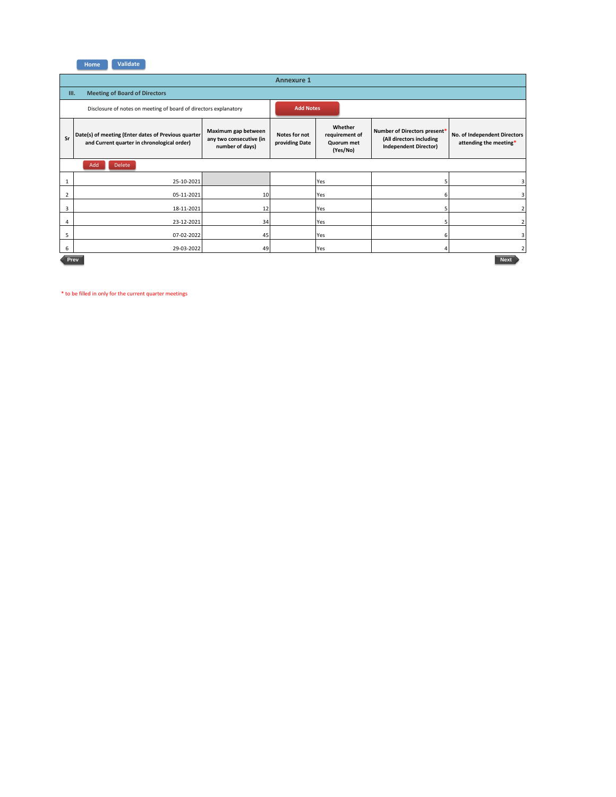**Home Validate**

|          | <b>Annexure 1</b>                                                                                  |                                                                   |                                 |                                                     |                                                                                          |                                                        |  |  |  |  |
|----------|----------------------------------------------------------------------------------------------------|-------------------------------------------------------------------|---------------------------------|-----------------------------------------------------|------------------------------------------------------------------------------------------|--------------------------------------------------------|--|--|--|--|
|          | <b>Meeting of Board of Directors</b><br>Ш.                                                         |                                                                   |                                 |                                                     |                                                                                          |                                                        |  |  |  |  |
|          | Disclosure of notes on meeting of board of directors explanatory                                   |                                                                   | <b>Add Notes</b>                |                                                     |                                                                                          |                                                        |  |  |  |  |
| Sr       | Date(s) of meeting (Enter dates of Previous quarter<br>and Current quarter in chronological order) | Maximum gap between<br>any two consecutive (in<br>number of days) | Notes for not<br>providing Date | Whether<br>requirement of<br>Quorum met<br>(Yes/No) | Number of Directors present*<br>(All directors including<br><b>Independent Director)</b> | No. of Independent Directors<br>attending the meeting* |  |  |  |  |
|          | Delete<br>Add                                                                                      |                                                                   |                                 |                                                     |                                                                                          |                                                        |  |  |  |  |
|          | 25-10-2021                                                                                         |                                                                   |                                 | Yes                                                 |                                                                                          | 3                                                      |  |  |  |  |
| 2        | 05-11-2021                                                                                         | 10                                                                |                                 | Yes                                                 |                                                                                          | 3                                                      |  |  |  |  |
| 3        | 18-11-2021                                                                                         | 12                                                                |                                 | Yes                                                 |                                                                                          | 2                                                      |  |  |  |  |
| $\Delta$ | 23-12-2021                                                                                         | 34                                                                |                                 | Yes                                                 |                                                                                          | 2                                                      |  |  |  |  |
| 5        | 07-02-2022                                                                                         | 45                                                                |                                 | Yes                                                 | 6                                                                                        | 3                                                      |  |  |  |  |
| 6        | 29-03-2022                                                                                         | 49                                                                |                                 | Yes                                                 |                                                                                          | 2                                                      |  |  |  |  |
|          | Prev                                                                                               |                                                                   |                                 |                                                     |                                                                                          | <b>Next</b>                                            |  |  |  |  |

\* to be filled in only for the current quarter meetings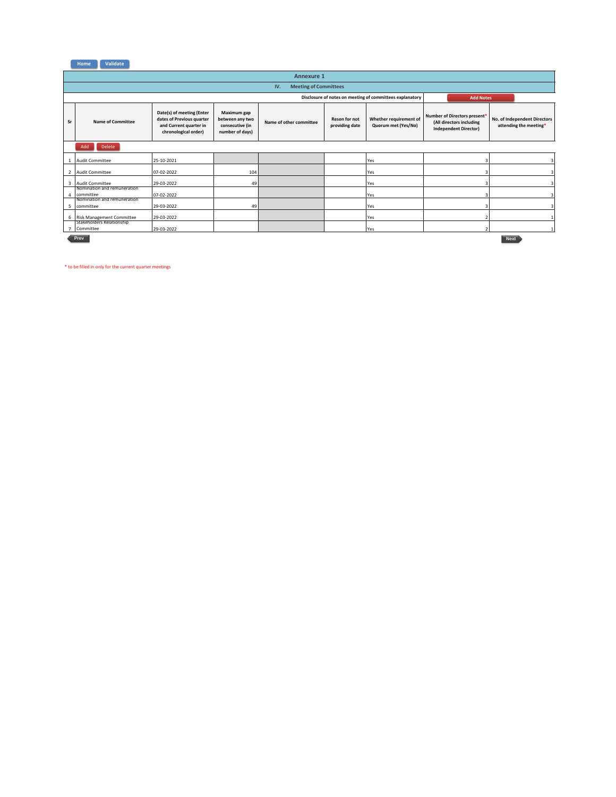## **Home Validate**

|                          | <b>Annexure 1</b>                                                            |                                                                                                          |                                                                      |                         |                                        |                                               |                                                                                          |                                                        |
|--------------------------|------------------------------------------------------------------------------|----------------------------------------------------------------------------------------------------------|----------------------------------------------------------------------|-------------------------|----------------------------------------|-----------------------------------------------|------------------------------------------------------------------------------------------|--------------------------------------------------------|
|                          | <b>Meeting of Committees</b><br>IV.                                          |                                                                                                          |                                                                      |                         |                                        |                                               |                                                                                          |                                                        |
|                          | Disclosure of notes on meeting of committees explanatory<br><b>Add Notes</b> |                                                                                                          |                                                                      |                         |                                        |                                               |                                                                                          |                                                        |
| <b>Sr</b>                | <b>Name of Committee</b>                                                     | Date(s) of meeting (Enter<br>dates of Previous quarter<br>and Current quarter in<br>chronological order) | Maximum gap<br>between any two<br>consecutive (in<br>number of days) | Name of other committee | <b>Reson for not</b><br>providing date | Whether requirement of<br>Quorum met (Yes/No) | Number of Directors present*<br>(All directors including<br><b>Independent Director)</b> | No. of Independent Directors<br>attending the meeting* |
|                          | Delete<br>Add                                                                |                                                                                                          |                                                                      |                         |                                        |                                               |                                                                                          |                                                        |
|                          | <b>Audit Committee</b>                                                       | 25-10-2021                                                                                               |                                                                      |                         |                                        | Yes                                           |                                                                                          |                                                        |
| $\overline{\phantom{a}}$ | <b>Audit Committee</b>                                                       | 07-02-2022                                                                                               | 104                                                                  |                         |                                        | Yes                                           |                                                                                          |                                                        |
| $\overline{\mathbf{3}}$  | <b>Audit Committee</b>                                                       | 29-03-2022                                                                                               | 49                                                                   |                         |                                        | Yes                                           |                                                                                          |                                                        |
|                          | Nomination and remuneration<br>committee                                     | 07-02-2022                                                                                               |                                                                      |                         |                                        | Yes                                           |                                                                                          |                                                        |
| 5                        | Nomination and remuneration<br>committee                                     | 29-03-2022                                                                                               | 49                                                                   |                         |                                        | Yes                                           |                                                                                          |                                                        |
| 6                        | <b>Risk Management Committee</b>                                             | 29-03-2022                                                                                               |                                                                      |                         |                                        | Yes                                           |                                                                                          |                                                        |
|                          | <b>Stakeholders Relationship</b><br>Committee                                | 29-03-2022                                                                                               |                                                                      |                         |                                        | Yes                                           |                                                                                          |                                                        |
|                          | Prev                                                                         |                                                                                                          |                                                                      |                         |                                        |                                               |                                                                                          | <b>Next</b>                                            |

 $\hspace{0.1mm}^*$  to be filled in only for the current quarter meetings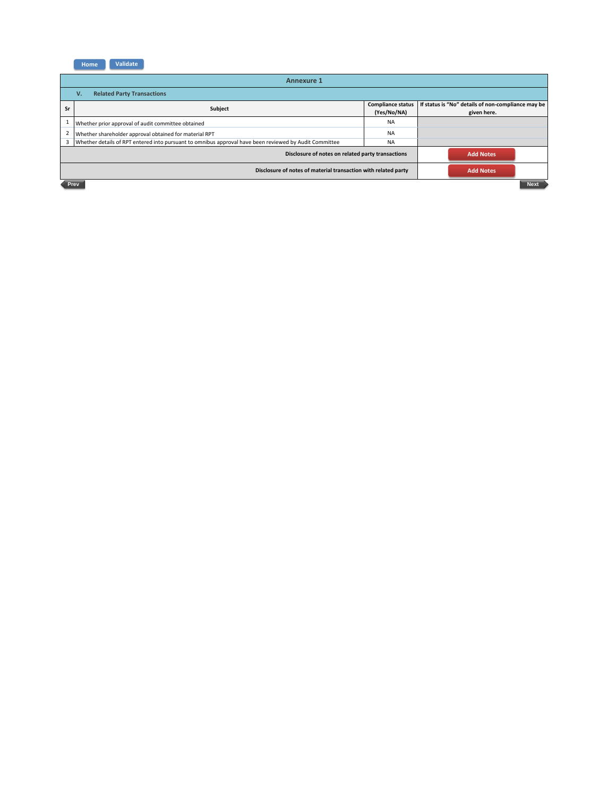

|    | <b>Annexure 1</b>                                                                                                       |           |             |  |  |  |  |  |  |
|----|-------------------------------------------------------------------------------------------------------------------------|-----------|-------------|--|--|--|--|--|--|
|    | v.<br><b>Related Party Transactions</b>                                                                                 |           |             |  |  |  |  |  |  |
| Sr | If status is "No" details of non-compliance may be<br><b>Compliance status</b><br>Subject<br>(Yes/No/NA)<br>given here. |           |             |  |  |  |  |  |  |
|    | Whether prior approval of audit committee obtained                                                                      |           |             |  |  |  |  |  |  |
|    | <b>NA</b><br>Whether shareholder approval obtained for material RPT                                                     |           |             |  |  |  |  |  |  |
|    | Whether details of RPT entered into pursuant to omnibus approval have been reviewed by Audit Committee                  | <b>NA</b> |             |  |  |  |  |  |  |
|    | Disclosure of notes on related party transactions<br><b>Add Notes</b>                                                   |           |             |  |  |  |  |  |  |
|    | Disclosure of notes of material transaction with related party<br><b>Add Notes</b>                                      |           |             |  |  |  |  |  |  |
|    | Prev                                                                                                                    |           | <b>Next</b> |  |  |  |  |  |  |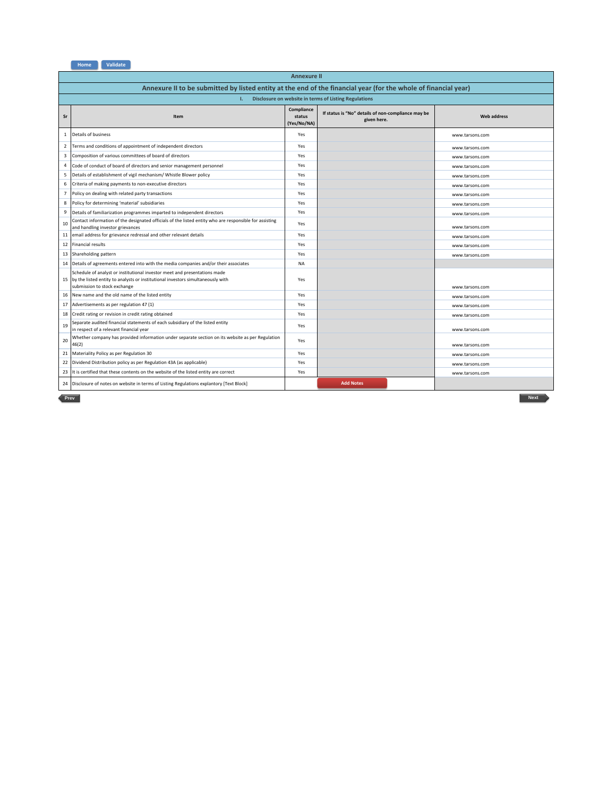

|                                                                                                                 | <b>Annexure II</b>                                                                                                                                                                              |                                     |                                                                   |                    |
|-----------------------------------------------------------------------------------------------------------------|-------------------------------------------------------------------------------------------------------------------------------------------------------------------------------------------------|-------------------------------------|-------------------------------------------------------------------|--------------------|
| Annexure II to be submitted by listed entity at the end of the financial year (for the whole of financial year) |                                                                                                                                                                                                 |                                     |                                                                   |                    |
| Disclosure on website in terms of Listing Regulations<br>ı.                                                     |                                                                                                                                                                                                 |                                     |                                                                   |                    |
| Sr                                                                                                              | Item                                                                                                                                                                                            | Compliance<br>status<br>(Yes/No/NA) | If status is "No" details of non-compliance may be<br>given here. | <b>Web address</b> |
| 1                                                                                                               | Details of business                                                                                                                                                                             | Yes                                 |                                                                   | www.tarsons.com    |
| 2                                                                                                               | Terms and conditions of appointment of independent directors                                                                                                                                    | Yes                                 |                                                                   | www.tarsons.com    |
| 3                                                                                                               | Composition of various committees of board of directors                                                                                                                                         | Yes                                 |                                                                   | www.tarsons.com    |
| 4                                                                                                               | Code of conduct of board of directors and senior management personnel                                                                                                                           | Yes                                 |                                                                   | www.tarsons.com    |
| 5                                                                                                               | Details of establishment of vigil mechanism/ Whistle Blower policy                                                                                                                              | Yes                                 |                                                                   | www.tarsons.com    |
| 6                                                                                                               | Criteria of making payments to non-executive directors                                                                                                                                          | Yes                                 |                                                                   | www.tarsons.com    |
| $\overline{7}$                                                                                                  | Policy on dealing with related party transactions                                                                                                                                               | Yes                                 |                                                                   | www.tarsons.com    |
| 8                                                                                                               | Policy for determining 'material' subsidiaries                                                                                                                                                  | Yes                                 |                                                                   | www.tarsons.com    |
| 9                                                                                                               | Details of familiarization programmes imparted to independent directors                                                                                                                         | Yes                                 |                                                                   | www.tarsons.com    |
| 10                                                                                                              | Contact information of the designated officials of the listed entity who are responsible for assisting<br>and handling investor grievances                                                      | Yes                                 |                                                                   | www.tarsons.com    |
|                                                                                                                 | 11 email address for grievance redressal and other relevant details                                                                                                                             | Yes                                 |                                                                   | www.tarsons.com    |
|                                                                                                                 | 12 Financial results                                                                                                                                                                            | Yes                                 |                                                                   | www.tarsons.com    |
| 13                                                                                                              | Shareholding pattern                                                                                                                                                                            | Yes                                 |                                                                   | www.tarsons.com    |
|                                                                                                                 | 14 Details of agreements entered into with the media companies and/or their associates                                                                                                          | <b>NA</b>                           |                                                                   |                    |
|                                                                                                                 | Schedule of analyst or institutional investor meet and presentations made<br>15 by the listed entity to analysts or institutional investors simultaneously with<br>submission to stock exchange | Yes                                 |                                                                   | www.tarsons.com    |
|                                                                                                                 | 16 New name and the old name of the listed entity                                                                                                                                               | Yes                                 |                                                                   | www.tarsons.com    |
|                                                                                                                 | 17 Advertisements as per regulation 47 (1)                                                                                                                                                      | Yes                                 |                                                                   | www.tarsons.com    |
|                                                                                                                 | 18 Credit rating or revision in credit rating obtained                                                                                                                                          | Yes                                 |                                                                   | www.tarsons.com    |
| 19                                                                                                              | Separate audited financial statements of each subsidiary of the listed entity<br>in respect of a relevant financial year                                                                        | Yes                                 |                                                                   | www.tarsons.com    |
| 20                                                                                                              | Whether company has provided information under separate section on its website as per Regulation<br>46(2)                                                                                       | Yes                                 |                                                                   | www.tarsons.com    |
|                                                                                                                 | 21 Materiality Policy as per Regulation 30                                                                                                                                                      | Yes                                 |                                                                   | www.tarsons.com    |
|                                                                                                                 | 22 Dividend Distribution policy as per Regulation 43A (as applicable)                                                                                                                           | Yes                                 |                                                                   | www.tarsons.com    |
|                                                                                                                 | 23 It is certified that these contents on the website of the listed entity are correct                                                                                                          | Yes                                 |                                                                   | www.tarsons.com    |
|                                                                                                                 | 24 Disclosure of notes on website in terms of Listing Regulations explantory [Text Block]                                                                                                       |                                     | <b>Add Notes</b>                                                  |                    |
|                                                                                                                 | Prev<br><b>Next</b>                                                                                                                                                                             |                                     |                                                                   |                    |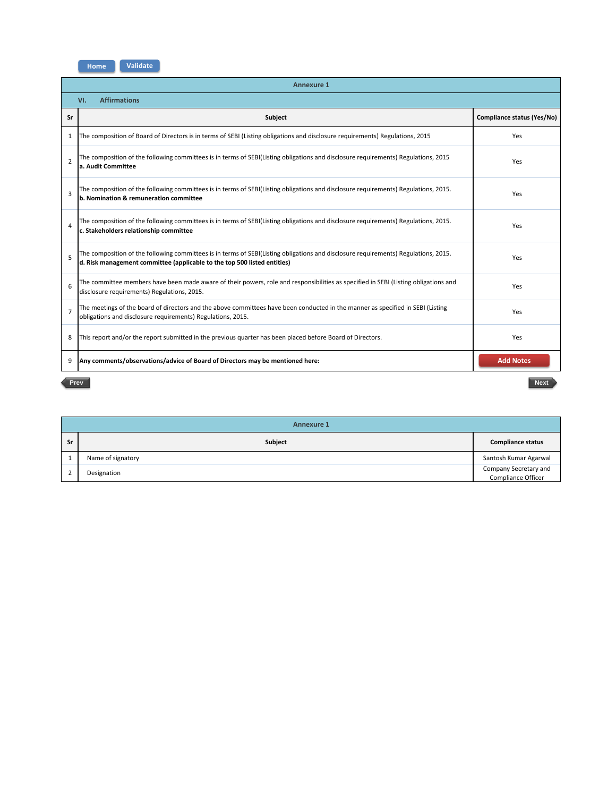

| <b>Annexure 1</b>          |                                                                                                                                                                                                                        |                            |
|----------------------------|------------------------------------------------------------------------------------------------------------------------------------------------------------------------------------------------------------------------|----------------------------|
| VI.<br><b>Affirmations</b> |                                                                                                                                                                                                                        |                            |
| Sr                         | Subject                                                                                                                                                                                                                | Compliance status (Yes/No) |
| 1                          | The composition of Board of Directors is in terms of SEBI (Listing obligations and disclosure requirements) Regulations, 2015                                                                                          | Yes                        |
| $\overline{2}$             | The composition of the following committees is in terms of SEBI(Listing obligations and disclosure requirements) Regulations, 2015<br>Yes<br>a. Audit Committee                                                        |                            |
| 3                          | The composition of the following committees is in terms of SEBI(Listing obligations and disclosure requirements) Regulations, 2015.<br>b. Nomination & remuneration committee                                          | Yes                        |
| $\overline{a}$             | The composition of the following committees is in terms of SEBI(Listing obligations and disclosure requirements) Regulations, 2015.<br>c. Stakeholders relationship committee                                          | Yes                        |
| 5                          | The composition of the following committees is in terms of SEBI(Listing obligations and disclosure requirements) Regulations, 2015.<br>Yes<br>d. Risk management committee (applicable to the top 500 listed entities) |                            |
| 6                          | The committee members have been made aware of their powers, role and responsibilities as specified in SEBI (Listing obligations and<br>Yes<br>disclosure requirements) Regulations, 2015.                              |                            |
| $\overline{7}$             | The meetings of the board of directors and the above committees have been conducted in the manner as specified in SEBI (Listing<br>Yes<br>obligations and disclosure requirements) Regulations, 2015.                  |                            |
| 8                          | This report and/or the report submitted in the previous quarter has been placed before Board of Directors.                                                                                                             | Yes                        |
| 9                          | Any comments/observations/advice of Board of Directors may be mentioned here:                                                                                                                                          | <b>Add Notes</b>           |
| Prev<br><b>Next</b>        |                                                                                                                                                                                                                        |                            |

|    | <b>Annexure 1</b> |                                             |  |
|----|-------------------|---------------------------------------------|--|
| Sr | Subject           | <b>Compliance status</b>                    |  |
|    | Name of signatory | Santosh Kumar Agarwal                       |  |
|    | Designation       | Company Secretary and<br>Compliance Officer |  |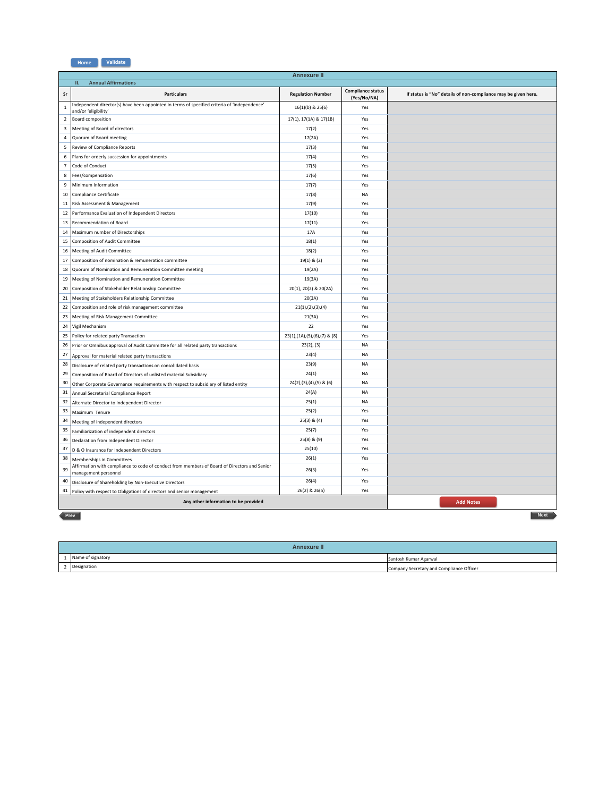

|                | <b>Annexure II</b>                                                                                                   |                              |                                         |                                                                |  |
|----------------|----------------------------------------------------------------------------------------------------------------------|------------------------------|-----------------------------------------|----------------------------------------------------------------|--|
|                | <b>Annual Affirmations</b><br>п.                                                                                     |                              |                                         |                                                                |  |
| Sr             | <b>Particulars</b>                                                                                                   | <b>Regulation Number</b>     | <b>Compliance status</b><br>(Yes/No/NA) | If status is "No" details of non-compliance may be given here. |  |
| $\,1\,$        | Independent director(s) have been appointed in terms of specified criteria of 'independence'<br>and/or 'eligibility' | 16(1)(b) & 25(6)             | Yes                                     |                                                                |  |
| $\overline{2}$ | Board composition                                                                                                    | 17(1), 17(1A) & 17(1B)       | Yes                                     |                                                                |  |
| 3              | Meeting of Board of directors                                                                                        | 17(2)                        | Yes                                     |                                                                |  |
| $\sqrt{4}$     | Quorum of Board meeting                                                                                              | 17(2A)                       | Yes                                     |                                                                |  |
| 5              | Review of Compliance Reports                                                                                         | 17(3)                        | Yes                                     |                                                                |  |
| 6              | Plans for orderly succession for appointments                                                                        | 17(4)                        | Yes                                     |                                                                |  |
| $\overline{7}$ | Code of Conduct                                                                                                      | 17(5)                        | Yes                                     |                                                                |  |
| 8              | Fees/compensation                                                                                                    | 17(6)                        | Yes                                     |                                                                |  |
| 9              | Minimum Information                                                                                                  | 17(7)                        | Yes                                     |                                                                |  |
| 10             | Compliance Certificate                                                                                               | 17(8)                        | <b>NA</b>                               |                                                                |  |
| 11             | Risk Assessment & Management                                                                                         | 17(9)                        | Yes                                     |                                                                |  |
| 12             | Performance Evaluation of Independent Directors                                                                      | 17(10)                       | Yes                                     |                                                                |  |
| 13             | Recommendation of Board                                                                                              | 17(11)                       | Yes                                     |                                                                |  |
| 14             | Maximum number of Directorships                                                                                      | 17A                          | Yes                                     |                                                                |  |
| 15             | Composition of Audit Committee                                                                                       | 18(1)                        | Yes                                     |                                                                |  |
| 16             | Meeting of Audit Committee                                                                                           | 18(2)                        | Yes                                     |                                                                |  |
| 17             | Composition of nomination & remuneration committee                                                                   | $19(1)$ & $(2)$              | Yes                                     |                                                                |  |
| 18             | Quorum of Nomination and Remuneration Committee meeting                                                              | 19(2A)                       | Yes                                     |                                                                |  |
| 19             | Meeting of Nomination and Remuneration Committee                                                                     | 19(3A)                       | Yes                                     |                                                                |  |
| 20             | Composition of Stakeholder Relationship Committee                                                                    | 20(1), 20(2) & 20(2A)        | Yes                                     |                                                                |  |
| 21             | Meeting of Stakeholders Relationship Committee                                                                       | 20(3A)                       | Yes                                     |                                                                |  |
| 22             | Composition and role of risk management committee                                                                    | 21(1), (2), (3), (4)         | Yes                                     |                                                                |  |
| 23             | Meeting of Risk Management Committee                                                                                 | 21(3A)                       | Yes                                     |                                                                |  |
| 24             | Vigil Mechanism                                                                                                      | 22                           | Yes                                     |                                                                |  |
| 25             | Policy for related party Transaction                                                                                 | 23(1),(1A),(5),(6),(7) & (8) | Yes                                     |                                                                |  |
| 26             | Prior or Omnibus approval of Audit Committee for all related party transactions                                      | 23(2), (3)                   | <b>NA</b>                               |                                                                |  |
| 27             | Approval for material related party transactions                                                                     | 23(4)                        | <b>NA</b>                               |                                                                |  |
| 28             | Disclosure of related party transactions on consolidated basis                                                       | 23(9)                        | <b>NA</b>                               |                                                                |  |
| 29             | Composition of Board of Directors of unlisted material Subsidiary                                                    | 24(1)                        | <b>NA</b>                               |                                                                |  |
| 30             | Other Corporate Governance requirements with respect to subsidiary of listed entity                                  | 24(2),(3),(4),(5) & (6)      | <b>NA</b>                               |                                                                |  |
| 31             | Annual Secretarial Compliance Report                                                                                 | 24(A)                        | <b>NA</b>                               |                                                                |  |
| 32             | Alternate Director to Independent Director                                                                           | 25(1)                        | <b>NA</b>                               |                                                                |  |
| 33             | Maximum Tenure                                                                                                       | 25(2)                        | Yes                                     |                                                                |  |
| 34             | Meeting of independent directors                                                                                     | 25(3) & (4)                  | Yes                                     |                                                                |  |
| 35             | Familiarization of independent directors                                                                             | 25(7)                        | Yes                                     |                                                                |  |
| 36             | Declaration from Independent Director                                                                                | 25(8) & (9)                  | Yes                                     |                                                                |  |
| 37             | D & O Insurance for Independent Directors                                                                            | 25(10)                       | Yes                                     |                                                                |  |
| 38             | Memberships in Committees                                                                                            | 26(1)                        | Yes                                     |                                                                |  |
| 39             | Affirmation with compliance to code of conduct from members of Board of Directors and Senior<br>management personnel | 26(3)                        | Yes                                     |                                                                |  |
| 40             | Disclosure of Shareholding by Non-Executive Directors                                                                | 26(4)                        | Yes                                     |                                                                |  |
| 41             | Policy with respect to Obligations of directors and senior management                                                | 26(2) & 26(5)                | Yes                                     |                                                                |  |
|                | Any other information to be provided                                                                                 |                              |                                         | <b>Add Notes</b>                                               |  |
|                | <b>Next</b><br>Prev                                                                                                  |                              |                                         |                                                                |  |

| Annexure II       |                                          |  |
|-------------------|------------------------------------------|--|
| Name of signatory | Santosh Kumar Agarwal                    |  |
| Designation       | Company Secretary and Compliance Officer |  |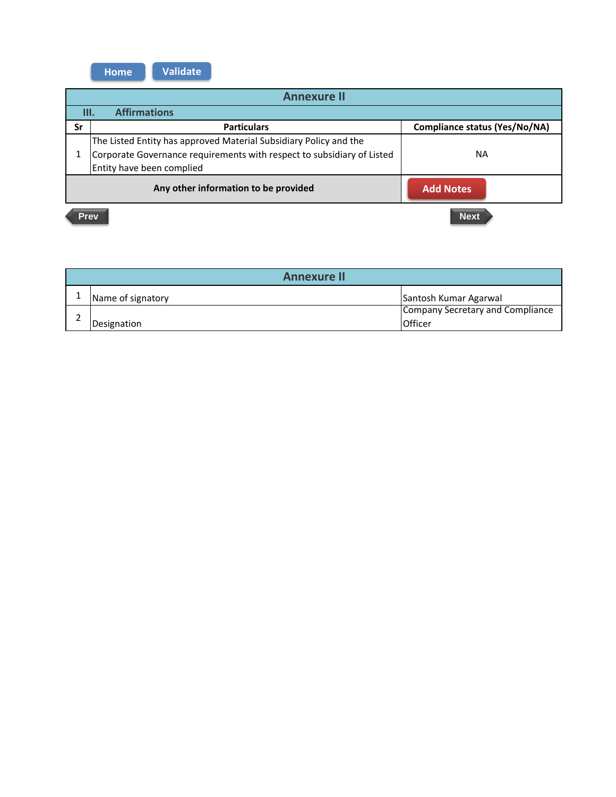|                                                                  | <b>Validate</b><br><b>Home</b>                                         |    |  |  |
|------------------------------------------------------------------|------------------------------------------------------------------------|----|--|--|
| <b>Annexure II</b>                                               |                                                                        |    |  |  |
| Ш.                                                               | <b>Affirmations</b>                                                    |    |  |  |
| Sr<br><b>Compliance status (Yes/No/NA)</b><br><b>Particulars</b> |                                                                        |    |  |  |
|                                                                  | The Listed Entity has approved Material Subsidiary Policy and the      |    |  |  |
| 1                                                                | Corporate Governance requirements with respect to subsidiary of Listed | NА |  |  |
| Entity have been complied                                        |                                                                        |    |  |  |
| Any other information to be provided<br><b>Add Notes</b>         |                                                                        |    |  |  |
| <b>Next</b><br><b>Prev</b>                                       |                                                                        |    |  |  |

| <b>Annexure II</b> |                   |                                             |
|--------------------|-------------------|---------------------------------------------|
|                    | Name of signatory | Santosh Kumar Agarwal                       |
|                    | Designation       | Company Secretary and Compliance<br>Officer |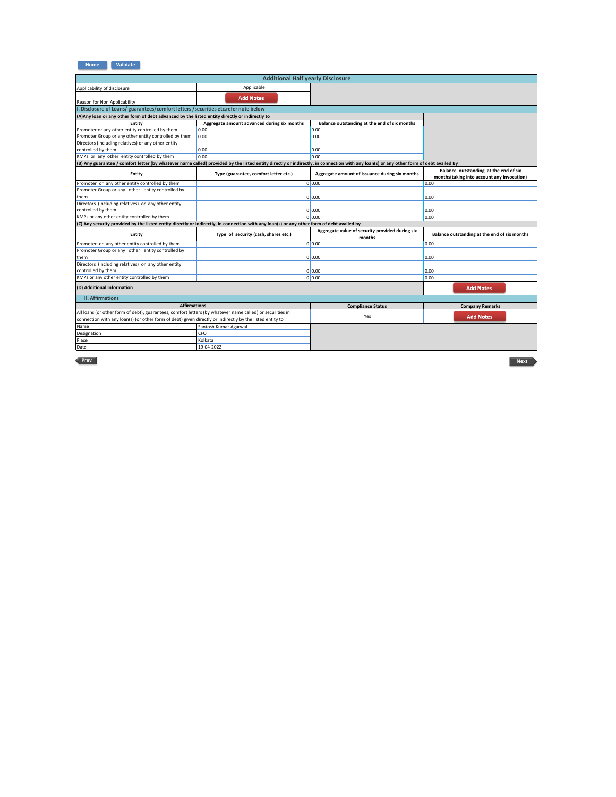## **Validate Home**

| Applicable<br><b>Add Notes</b><br>I. Disclosure of Loans/ guarantees/comfort letters / securities etc.refer note below<br>(A) Any loan or any other form of debt advanced by the listed entity directly or indirectly to<br>Aggregate amount advanced during six months<br>Balance outstanding at the end of six months<br>Entity<br>0.00<br>0.00<br>0.00<br>0.00<br>Directors (including relatives) or any other entity<br>controlled by them<br>0.00<br>0.00<br>0.00<br>0.00<br>(B) Any guarantee / comfort letter (by whatever name called) provided by the listed entity directly or indirectly, in connection with any loan(s) or any other form of debt availed By<br>Balance outstanding at the end of six<br>Aggregate amount of issuance during six months<br>Entity<br>Type (guarantee, comfort letter etc.)<br>months(taking into account any invocation)<br>0 0.00<br>0.00<br>0.00<br>0 0.00<br>0 0.00<br>0.00<br>0 0.00<br>0.00<br>(C) Any security provided by the listed entity directly or indirectly, in connection with any loan(s) or any other form of debt availed by<br>Aggregate value of security provided during six<br>Entity<br>Type of security (cash, shares etc.)<br>Balance outstanding at the end of six months<br>months<br>0 0.00<br>0.00<br>0 0.00<br>0.00<br>0 0.00<br>0.00<br>0 0.00<br>0.00<br><b>Add Notes</b><br><b>II. Affirmations</b><br><b>Affirmations</b><br><b>Compliance Status</b><br><b>Company Remarks</b><br>All loans (or other form of debt), guarantees, comfort letters (by whatever name called) or securities in<br>Yes<br><b>Add Notes</b><br>Santosh Kumar Agarwal<br>CFO<br>Kolkata<br>19-04-2022 | <b>Additional Half yearly Disclosure</b>                                                                 |  |  |  |  |
|----------------------------------------------------------------------------------------------------------------------------------------------------------------------------------------------------------------------------------------------------------------------------------------------------------------------------------------------------------------------------------------------------------------------------------------------------------------------------------------------------------------------------------------------------------------------------------------------------------------------------------------------------------------------------------------------------------------------------------------------------------------------------------------------------------------------------------------------------------------------------------------------------------------------------------------------------------------------------------------------------------------------------------------------------------------------------------------------------------------------------------------------------------------------------------------------------------------------------------------------------------------------------------------------------------------------------------------------------------------------------------------------------------------------------------------------------------------------------------------------------------------------------------------------------------------------------------------------------------------------------------------------------------------|----------------------------------------------------------------------------------------------------------|--|--|--|--|
|                                                                                                                                                                                                                                                                                                                                                                                                                                                                                                                                                                                                                                                                                                                                                                                                                                                                                                                                                                                                                                                                                                                                                                                                                                                                                                                                                                                                                                                                                                                                                                                                                                                                | Applicability of disclosure                                                                              |  |  |  |  |
|                                                                                                                                                                                                                                                                                                                                                                                                                                                                                                                                                                                                                                                                                                                                                                                                                                                                                                                                                                                                                                                                                                                                                                                                                                                                                                                                                                                                                                                                                                                                                                                                                                                                |                                                                                                          |  |  |  |  |
|                                                                                                                                                                                                                                                                                                                                                                                                                                                                                                                                                                                                                                                                                                                                                                                                                                                                                                                                                                                                                                                                                                                                                                                                                                                                                                                                                                                                                                                                                                                                                                                                                                                                | Reason for Non Applicability                                                                             |  |  |  |  |
|                                                                                                                                                                                                                                                                                                                                                                                                                                                                                                                                                                                                                                                                                                                                                                                                                                                                                                                                                                                                                                                                                                                                                                                                                                                                                                                                                                                                                                                                                                                                                                                                                                                                |                                                                                                          |  |  |  |  |
|                                                                                                                                                                                                                                                                                                                                                                                                                                                                                                                                                                                                                                                                                                                                                                                                                                                                                                                                                                                                                                                                                                                                                                                                                                                                                                                                                                                                                                                                                                                                                                                                                                                                |                                                                                                          |  |  |  |  |
|                                                                                                                                                                                                                                                                                                                                                                                                                                                                                                                                                                                                                                                                                                                                                                                                                                                                                                                                                                                                                                                                                                                                                                                                                                                                                                                                                                                                                                                                                                                                                                                                                                                                |                                                                                                          |  |  |  |  |
|                                                                                                                                                                                                                                                                                                                                                                                                                                                                                                                                                                                                                                                                                                                                                                                                                                                                                                                                                                                                                                                                                                                                                                                                                                                                                                                                                                                                                                                                                                                                                                                                                                                                | Promoter or any other entity controlled by them                                                          |  |  |  |  |
|                                                                                                                                                                                                                                                                                                                                                                                                                                                                                                                                                                                                                                                                                                                                                                                                                                                                                                                                                                                                                                                                                                                                                                                                                                                                                                                                                                                                                                                                                                                                                                                                                                                                | Promoter Group or any other entity controlled by them                                                    |  |  |  |  |
|                                                                                                                                                                                                                                                                                                                                                                                                                                                                                                                                                                                                                                                                                                                                                                                                                                                                                                                                                                                                                                                                                                                                                                                                                                                                                                                                                                                                                                                                                                                                                                                                                                                                |                                                                                                          |  |  |  |  |
|                                                                                                                                                                                                                                                                                                                                                                                                                                                                                                                                                                                                                                                                                                                                                                                                                                                                                                                                                                                                                                                                                                                                                                                                                                                                                                                                                                                                                                                                                                                                                                                                                                                                |                                                                                                          |  |  |  |  |
|                                                                                                                                                                                                                                                                                                                                                                                                                                                                                                                                                                                                                                                                                                                                                                                                                                                                                                                                                                                                                                                                                                                                                                                                                                                                                                                                                                                                                                                                                                                                                                                                                                                                | KMPs or any other entity controlled by them                                                              |  |  |  |  |
|                                                                                                                                                                                                                                                                                                                                                                                                                                                                                                                                                                                                                                                                                                                                                                                                                                                                                                                                                                                                                                                                                                                                                                                                                                                                                                                                                                                                                                                                                                                                                                                                                                                                |                                                                                                          |  |  |  |  |
|                                                                                                                                                                                                                                                                                                                                                                                                                                                                                                                                                                                                                                                                                                                                                                                                                                                                                                                                                                                                                                                                                                                                                                                                                                                                                                                                                                                                                                                                                                                                                                                                                                                                |                                                                                                          |  |  |  |  |
|                                                                                                                                                                                                                                                                                                                                                                                                                                                                                                                                                                                                                                                                                                                                                                                                                                                                                                                                                                                                                                                                                                                                                                                                                                                                                                                                                                                                                                                                                                                                                                                                                                                                | Promoter or any other entity controlled by them                                                          |  |  |  |  |
|                                                                                                                                                                                                                                                                                                                                                                                                                                                                                                                                                                                                                                                                                                                                                                                                                                                                                                                                                                                                                                                                                                                                                                                                                                                                                                                                                                                                                                                                                                                                                                                                                                                                | Promoter Group or any other entity controlled by                                                         |  |  |  |  |
|                                                                                                                                                                                                                                                                                                                                                                                                                                                                                                                                                                                                                                                                                                                                                                                                                                                                                                                                                                                                                                                                                                                                                                                                                                                                                                                                                                                                                                                                                                                                                                                                                                                                | them                                                                                                     |  |  |  |  |
|                                                                                                                                                                                                                                                                                                                                                                                                                                                                                                                                                                                                                                                                                                                                                                                                                                                                                                                                                                                                                                                                                                                                                                                                                                                                                                                                                                                                                                                                                                                                                                                                                                                                | Directors (including relatives) or any other entity                                                      |  |  |  |  |
|                                                                                                                                                                                                                                                                                                                                                                                                                                                                                                                                                                                                                                                                                                                                                                                                                                                                                                                                                                                                                                                                                                                                                                                                                                                                                                                                                                                                                                                                                                                                                                                                                                                                | controlled by them                                                                                       |  |  |  |  |
|                                                                                                                                                                                                                                                                                                                                                                                                                                                                                                                                                                                                                                                                                                                                                                                                                                                                                                                                                                                                                                                                                                                                                                                                                                                                                                                                                                                                                                                                                                                                                                                                                                                                | KMPs or any other entity controlled by them                                                              |  |  |  |  |
|                                                                                                                                                                                                                                                                                                                                                                                                                                                                                                                                                                                                                                                                                                                                                                                                                                                                                                                                                                                                                                                                                                                                                                                                                                                                                                                                                                                                                                                                                                                                                                                                                                                                |                                                                                                          |  |  |  |  |
|                                                                                                                                                                                                                                                                                                                                                                                                                                                                                                                                                                                                                                                                                                                                                                                                                                                                                                                                                                                                                                                                                                                                                                                                                                                                                                                                                                                                                                                                                                                                                                                                                                                                |                                                                                                          |  |  |  |  |
|                                                                                                                                                                                                                                                                                                                                                                                                                                                                                                                                                                                                                                                                                                                                                                                                                                                                                                                                                                                                                                                                                                                                                                                                                                                                                                                                                                                                                                                                                                                                                                                                                                                                | Promoter or any other entity controlled by them                                                          |  |  |  |  |
|                                                                                                                                                                                                                                                                                                                                                                                                                                                                                                                                                                                                                                                                                                                                                                                                                                                                                                                                                                                                                                                                                                                                                                                                                                                                                                                                                                                                                                                                                                                                                                                                                                                                | Promoter Group or any other entity controlled by                                                         |  |  |  |  |
|                                                                                                                                                                                                                                                                                                                                                                                                                                                                                                                                                                                                                                                                                                                                                                                                                                                                                                                                                                                                                                                                                                                                                                                                                                                                                                                                                                                                                                                                                                                                                                                                                                                                | them                                                                                                     |  |  |  |  |
|                                                                                                                                                                                                                                                                                                                                                                                                                                                                                                                                                                                                                                                                                                                                                                                                                                                                                                                                                                                                                                                                                                                                                                                                                                                                                                                                                                                                                                                                                                                                                                                                                                                                | Directors (including relatives) or any other entity                                                      |  |  |  |  |
|                                                                                                                                                                                                                                                                                                                                                                                                                                                                                                                                                                                                                                                                                                                                                                                                                                                                                                                                                                                                                                                                                                                                                                                                                                                                                                                                                                                                                                                                                                                                                                                                                                                                | controlled by them                                                                                       |  |  |  |  |
|                                                                                                                                                                                                                                                                                                                                                                                                                                                                                                                                                                                                                                                                                                                                                                                                                                                                                                                                                                                                                                                                                                                                                                                                                                                                                                                                                                                                                                                                                                                                                                                                                                                                | KMPs or any other entity controlled by them                                                              |  |  |  |  |
|                                                                                                                                                                                                                                                                                                                                                                                                                                                                                                                                                                                                                                                                                                                                                                                                                                                                                                                                                                                                                                                                                                                                                                                                                                                                                                                                                                                                                                                                                                                                                                                                                                                                | (D) Additional Information                                                                               |  |  |  |  |
|                                                                                                                                                                                                                                                                                                                                                                                                                                                                                                                                                                                                                                                                                                                                                                                                                                                                                                                                                                                                                                                                                                                                                                                                                                                                                                                                                                                                                                                                                                                                                                                                                                                                |                                                                                                          |  |  |  |  |
|                                                                                                                                                                                                                                                                                                                                                                                                                                                                                                                                                                                                                                                                                                                                                                                                                                                                                                                                                                                                                                                                                                                                                                                                                                                                                                                                                                                                                                                                                                                                                                                                                                                                |                                                                                                          |  |  |  |  |
|                                                                                                                                                                                                                                                                                                                                                                                                                                                                                                                                                                                                                                                                                                                                                                                                                                                                                                                                                                                                                                                                                                                                                                                                                                                                                                                                                                                                                                                                                                                                                                                                                                                                |                                                                                                          |  |  |  |  |
|                                                                                                                                                                                                                                                                                                                                                                                                                                                                                                                                                                                                                                                                                                                                                                                                                                                                                                                                                                                                                                                                                                                                                                                                                                                                                                                                                                                                                                                                                                                                                                                                                                                                | connection with any loan(s) (or other form of debt) given directly or indirectly by the listed entity to |  |  |  |  |
|                                                                                                                                                                                                                                                                                                                                                                                                                                                                                                                                                                                                                                                                                                                                                                                                                                                                                                                                                                                                                                                                                                                                                                                                                                                                                                                                                                                                                                                                                                                                                                                                                                                                | Name                                                                                                     |  |  |  |  |
|                                                                                                                                                                                                                                                                                                                                                                                                                                                                                                                                                                                                                                                                                                                                                                                                                                                                                                                                                                                                                                                                                                                                                                                                                                                                                                                                                                                                                                                                                                                                                                                                                                                                | Designation                                                                                              |  |  |  |  |
|                                                                                                                                                                                                                                                                                                                                                                                                                                                                                                                                                                                                                                                                                                                                                                                                                                                                                                                                                                                                                                                                                                                                                                                                                                                                                                                                                                                                                                                                                                                                                                                                                                                                | Place                                                                                                    |  |  |  |  |
|                                                                                                                                                                                                                                                                                                                                                                                                                                                                                                                                                                                                                                                                                                                                                                                                                                                                                                                                                                                                                                                                                                                                                                                                                                                                                                                                                                                                                                                                                                                                                                                                                                                                | Date                                                                                                     |  |  |  |  |

**Prev Next**